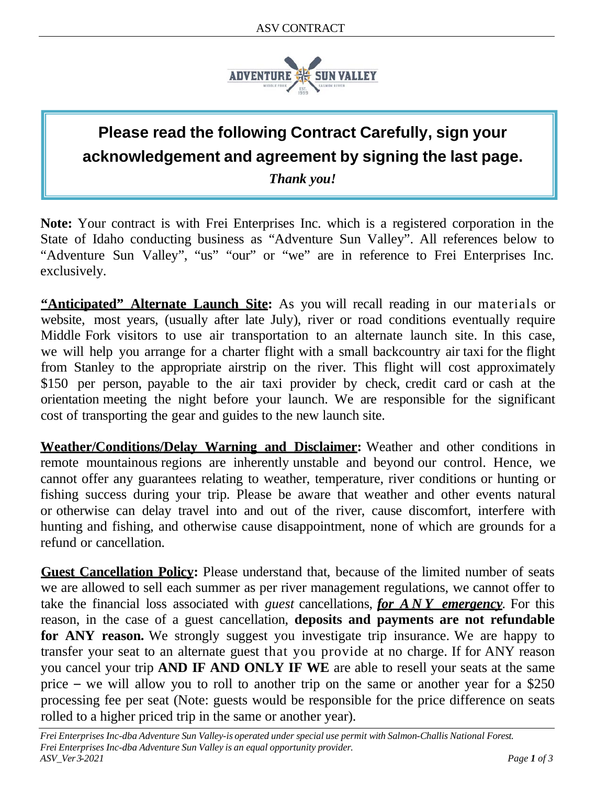

## **Please read the following Contract Carefully, sign your acknowledgement and agreement by signing the last page.**

*Thank you!*

**Note:** Your contract is with Frei Enterprises Inc. which is a registered corporation in the State of Idaho conducting business as "Adventure Sun Valley". All references below to "Adventure Sun Valley", "us" "our" or "we" are in reference to Frei Enterprises Inc. exclusively.

**"Anticipated" Alternate Launch Site:** As you will recall reading in our materials or website, most years, (usually after late July), river or road conditions eventually require Middle Fork visitors to use air transportation to an alternate launch site. In this case, we will help you arrange for a charter flight with a small backcountry air taxi for the flight from Stanley to the appropriate airstrip on the river. This flight will cost approximately \$150 per person, payable to the air taxi provider by check, credit card or cash at the orientation meeting the night before your launch. We are responsible for the significant cost of transporting the gear and guides to the new launch site.

**Weather/Conditions/Delay Warning and Disclaimer:** Weather and other conditions in remote mountainous regions are inherently unstable and beyond our control. Hence, we cannot offer any guarantees relating to weather, temperature, river conditions or hunting or fishing success during your trip. Please be aware that weather and other events natural or otherwise can delay travel into and out of the river, cause discomfort, interfere with hunting and fishing, and otherwise cause disappointment, none of which are grounds for a refund or cancellation.

**Guest Cancellation Policy:** Please understand that, because of the limited number of seats we are allowed to sell each summer as per river management regulations, we cannot offer to take the financial loss associated with *guest* cancellations, *for ANY emergency.* For this reason, in the case of a guest cancellation, **deposits and payments are not refundable for ANY reason.** We strongly suggest you investigate trip insurance. We are happy to transfer your seat to an alternate guest that you provide at no charge. If for ANY reason you cancel your trip **AND IF AND ONLY IF WE** are able to resell your seats at the same price – we will allow you to roll to another trip on the same or another year for a \$250 processing fee per seat (Note: guests would be responsible for the price difference on seats rolled to a higher priced trip in the same or another year).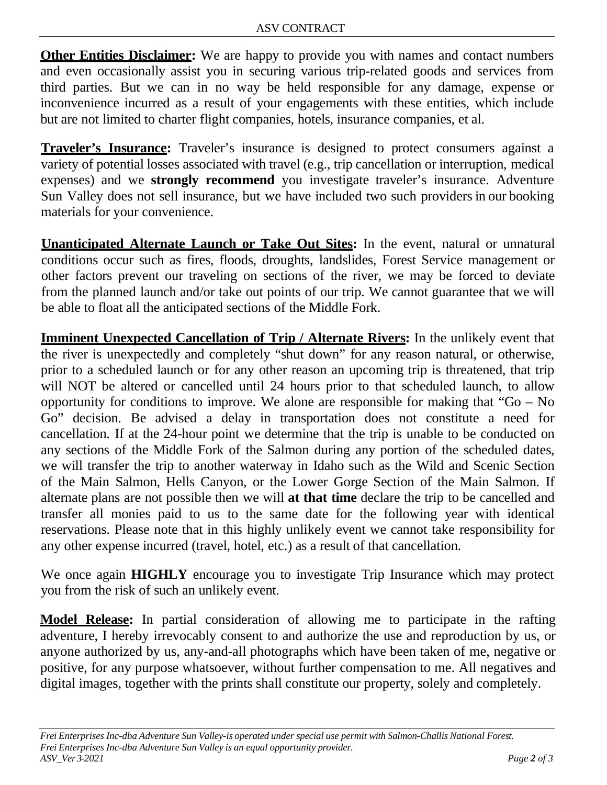**Other Entities Disclaimer:** We are happy to provide you with names and contact numbers and even occasionally assist you in securing various trip-related goods and services from third parties. But we can in no way be held responsible for any damage, expense or inconvenience incurred as a result of your engagements with these entities, which include but are not limited to charter flight companies, hotels, insurance companies, et al.

**Traveler's Insurance:** Traveler's insurance is designed to protect consumers against a variety of potential losses associated with travel (e.g., trip cancellation or interruption, medical expenses) and we **strongly recommend** you investigate traveler's insurance. Adventure Sun Valley does not sell insurance, but we have included two such providers in our booking materials for your convenience.

**Unanticipated Alternate Launch or Take Out Sites:** In the event, natural or unnatural conditions occur such as fires, floods, droughts, landslides, Forest Service management or other factors prevent our traveling on sections of the river, we may be forced to deviate from the planned launch and/or take out points of our trip. We cannot guarantee that we will be able to float all the anticipated sections of the Middle Fork.

**Imminent Unexpected Cancellation of Trip / Alternate Rivers:** In the unlikely event that the river is unexpectedly and completely "shut down" for any reason natural, or otherwise, prior to a scheduled launch or for any other reason an upcoming trip is threatened, that trip will NOT be altered or cancelled until 24 hours prior to that scheduled launch, to allow opportunity for conditions to improve. We alone are responsible for making that " $Go - No$ Go" decision. Be advised a delay in transportation does not constitute a need for cancellation. If at the 24-hour point we determine that the trip is unable to be conducted on any sections of the Middle Fork of the Salmon during any portion of the scheduled dates, we will transfer the trip to another waterway in Idaho such as the Wild and Scenic Section of the Main Salmon, Hells Canyon, or the Lower Gorge Section of the Main Salmon. If alternate plans are not possible then we will **at that time** declare the trip to be cancelled and transfer all monies paid to us to the same date for the following year with identical reservations. Please note that in this highly unlikely event we cannot take responsibility for any other expense incurred (travel, hotel, etc.) as a result of that cancellation.

We once again **HIGHLY** encourage you to investigate Trip Insurance which may protect you from the risk of such an unlikely event.

**Model Release:** In partial consideration of allowing me to participate in the rafting adventure, I hereby irrevocably consent to and authorize the use and reproduction by us, or anyone authorized by us, any-and-all photographs which have been taken of me, negative or positive, for any purpose whatsoever, without further compensation to me. All negatives and digital images, together with the prints shall constitute our property, solely and completely.